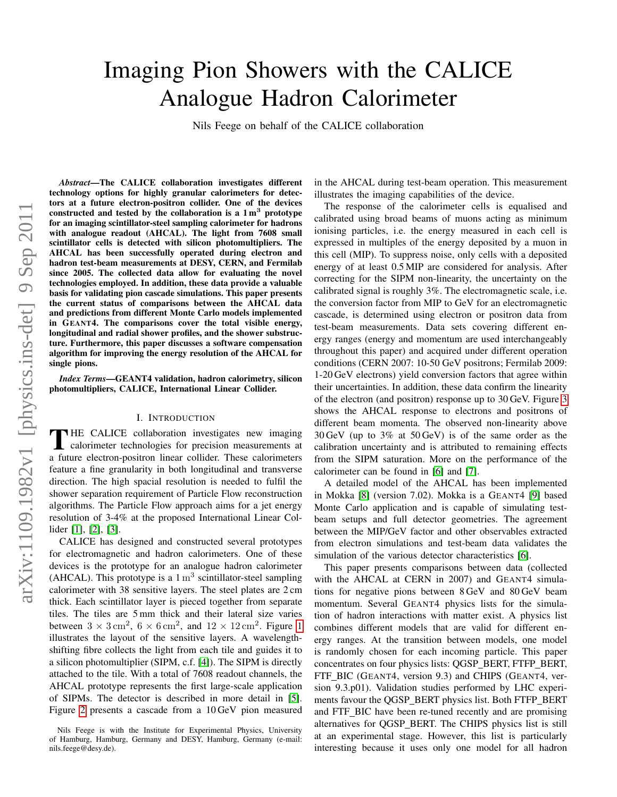# Imaging Pion Showers with the CALICE Analogue Hadron Calorimeter

Nils Feege on behalf of the CALICE collaboration

*Abstract*—The CALICE collaboration investigates different technology options for highly granular calorimeters for detectors at a future electron-positron collider. One of the devices constructed and tested by the collaboration is a  $1 \text{ m}^3$  prototype for an imaging scintillator-steel sampling calorimeter for hadrons with analogue readout (AHCAL). The light from 7608 small scintillator cells is detected with silicon photomultipliers. The AHCAL has been successfully operated during electron and hadron test-beam measurements at DESY, CERN, and Fermilab since 2005. The collected data allow for evaluating the novel technologies employed. In addition, these data provide a valuable basis for validating pion cascade simulations. This paper presents the current status of comparisons between the AHCAL data and predictions from different Monte Carlo models implemented in GEANT4. The comparisons cover the total visible energy, longitudinal and radial shower profiles, and the shower substructure. Furthermore, this paper discusses a software compensation algorithm for improving the energy resolution of the AHCAL for single pions.

*Index Terms*—GEANT4 validation, hadron calorimetry, silicon photomultipliers, CALICE, International Linear Collider.

# I. INTRODUCTION

THE CALICE collaboration investigates new imaging calorimeter technologies for precision measurements at a future electron-positron linear collider. These calorimeters **THE CALICE collaboration investigates new imaging** calorimeter technologies for precision measurements at feature a fine granularity in both longitudinal and transverse direction. The high spacial resolution is needed to fulfil the shower separation requirement of Particle Flow reconstruction algorithms. The Particle Flow approach aims for a jet energy resolution of 3-4% at the proposed International Linear Collider [\[1\]](#page-4-0), [\[2\]](#page-4-1), [\[3\]](#page-4-2).

CALICE has designed and constructed several prototypes for electromagnetic and hadron calorimeters. One of these devices is the prototype for an analogue hadron calorimeter (AHCAL). This prototype is a  $1 \text{ m}^3$  scintillator-steel sampling calorimeter with 38 sensitive layers. The steel plates are 2 cm thick. Each scintillator layer is pieced together from separate tiles. The tiles are 5 mm thick and their lateral size varies between  $3 \times 3 \text{ cm}^2$ ,  $6 \times 6 \text{ cm}^2$ , and  $12 \times 12 \text{ cm}^2$  $12 \times 12 \text{ cm}^2$  $12 \times 12 \text{ cm}^2$ . Figure 1 illustrates the layout of the sensitive layers. A wavelengthshifting fibre collects the light from each tile and guides it to a silicon photomultiplier (SIPM, c.f. [\[4\]](#page-4-3)). The SIPM is directly attached to the tile. With a total of 7608 readout channels, the AHCAL prototype represents the first large-scale application of SIPMs. The detector is described in more detail in [\[5\]](#page-4-4). Figure [2](#page-1-1) presents a cascade from a 10 GeV pion measured in the AHCAL during test-beam operation. This measurement illustrates the imaging capabilities of the device.

The response of the calorimeter cells is equalised and calibrated using broad beams of muons acting as minimum ionising particles, i.e. the energy measured in each cell is expressed in multiples of the energy deposited by a muon in this cell (MIP). To suppress noise, only cells with a deposited energy of at least 0.5 MIP are considered for analysis. After correcting for the SIPM non-linearity, the uncertainty on the calibrated signal is roughly 3%. The electromagnetic scale, i.e. the conversion factor from MIP to GeV for an electromagnetic cascade, is determined using electron or positron data from test-beam measurements. Data sets covering different energy ranges (energy and momentum are used interchangeably throughout this paper) and acquired under different operation conditions (CERN 2007: 10-50 GeV positrons; Fermilab 2009: 1-20 GeV electrons) yield conversion factors that agree within their uncertainties. In addition, these data confirm the linearity of the electron (and positron) response up to 30 GeV. Figure [3](#page-1-2) shows the AHCAL response to electrons and positrons of different beam momenta. The observed non-linearity above 30 GeV (up to 3% at 50 GeV) is of the same order as the calibration uncertainty and is attributed to remaining effects from the SIPM saturation. More on the performance of the calorimeter can be found in [\[6\]](#page-4-5) and [\[7\]](#page-4-6).

A detailed model of the AHCAL has been implemented in Mokka [\[8\]](#page-4-7) (version 7.02). Mokka is a GEANT4 [\[9\]](#page-4-8) based Monte Carlo application and is capable of simulating testbeam setups and full detector geometries. The agreement between the MIP/GeV factor and other observables extracted from electron simulations and test-beam data validates the simulation of the various detector characteristics [\[6\]](#page-4-5).

This paper presents comparisons between data (collected with the AHCAL at CERN in 2007) and GEANT4 simulations for negative pions between 8 GeV and 80 GeV beam momentum. Several GEANT4 physics lists for the simulation of hadron interactions with matter exist. A physics list combines different models that are valid for different energy ranges. At the transition between models, one model is randomly chosen for each incoming particle. This paper concentrates on four physics lists: QGSP BERT, FTFP BERT, FTF BIC (GEANT4, version 9.3) and CHIPS (GEANT4, version 9.3.p01). Validation studies performed by LHC experiments favour the QGSP\_BERT physics list. Both FTFP\_BERT and FTF BIC have been re-tuned recently and are promising alternatives for QGSP BERT. The CHIPS physics list is still at an experimental stage. However, this list is particularly interesting because it uses only one model for all hadron

Nils Feege is with the Institute for Experimental Physics, University of Hamburg, Hamburg, Germany and DESY, Hamburg, Germany (e-mail: nils.feege@desy.de).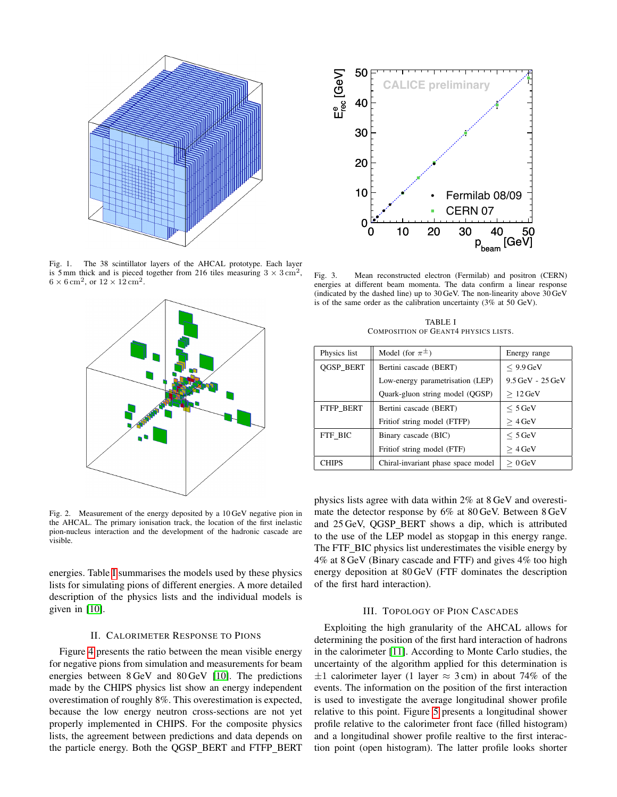

<span id="page-1-0"></span>Fig. 1. The 38 scintillator layers of the AHCAL prototype. Each layer is 5 mm thick and is pieced together from 216 tiles measuring  $3 \times 3 \text{ cm}^2$ ,  $6 \times 6$  cm<sup>2</sup>, or  $12 \times 12$  cm<sup>2</sup>.



<span id="page-1-1"></span>Fig. 2. Measurement of the energy deposited by a 10 GeV negative pion in the AHCAL. The primary ionisation track, the location of the first inelastic pion-nucleus interaction and the development of the hadronic cascade are visible.

energies. Table [I](#page-1-3) summarises the models used by these physics lists for simulating pions of different energies. A more detailed description of the physics lists and the individual models is given in [\[10\]](#page-4-9).

## II. CALORIMETER RESPONSE TO PIONS

Figure [4](#page-2-0) presents the ratio between the mean visible energy for negative pions from simulation and measurements for beam energies between 8 GeV and 80 GeV [\[10\]](#page-4-9). The predictions made by the CHIPS physics list show an energy independent overestimation of roughly 8%. This overestimation is expected, because the low energy neutron cross-sections are not yet properly implemented in CHIPS. For the composite physics lists, the agreement between predictions and data depends on



<span id="page-1-2"></span>Fig. 3. Mean reconstructed electron (Fermilab) and positron (CERN) energies at different beam momenta. The data confirm a linear response (indicated by the dashed line) up to 30 GeV. The non-linearity above 30 GeV is of the same order as the calibration uncertainty (3% at 50 GeV).

TABLE I COMPOSITION OF GEANT4 PHYSICS LISTS.

<span id="page-1-3"></span>

| Physics list | Model (for $\pi^{\pm}$ )           | Energy range         |
|--------------|------------------------------------|----------------------|
| QGSP_BERT    | Bertini cascade (BERT)             | $< 9.9$ GeV          |
|              | Low-energy parametrisation (LEP)   | $9.5$ GeV $-25$ GeV  |
|              | Quark-gluon string model (QGSP)    | $>12$ GeV            |
| FTFP BERT    | Bertini cascade (BERT)             | $\leq 5$ GeV         |
|              | Fritiof string model (FTFP)        | >4 GeV               |
| FTF BIC      | Binary cascade (BIC)               | $< 5 \,\mathrm{GeV}$ |
|              | Fritiof string model (FTF)         | >4 GeV               |
| <b>CHIPS</b> | Chiral-invariant phase space model | >0 GeV               |

physics lists agree with data within 2% at 8 GeV and overestimate the detector response by 6% at 80 GeV. Between 8 GeV and 25 GeV, QGSP\_BERT shows a dip, which is attributed to the use of the LEP model as stopgap in this energy range. The FTF\_BIC physics list underestimates the visible energy by 4% at 8 GeV (Binary cascade and FTF) and gives 4% too high energy deposition at 80 GeV (FTF dominates the description of the first hard interaction).

#### III. TOPOLOGY OF PION CASCADES

Exploiting the high granularity of the AHCAL allows for determining the position of the first hard interaction of hadrons in the calorimeter [\[11\]](#page-4-10). According to Monte Carlo studies, the uncertainty of the algorithm applied for this determination is  $\pm 1$  calorimeter layer (1 layer  $\approx 3$  cm) in about 74% of the events. The information on the position of the first interaction is used to investigate the average longitudinal shower profile relative to this point. Figure [5](#page-2-1) presents a longitudinal shower profile relative to the calorimeter front face (filled histogram) and a longitudinal shower profile realtive to the first interaction point (open histogram). The latter profile looks shorter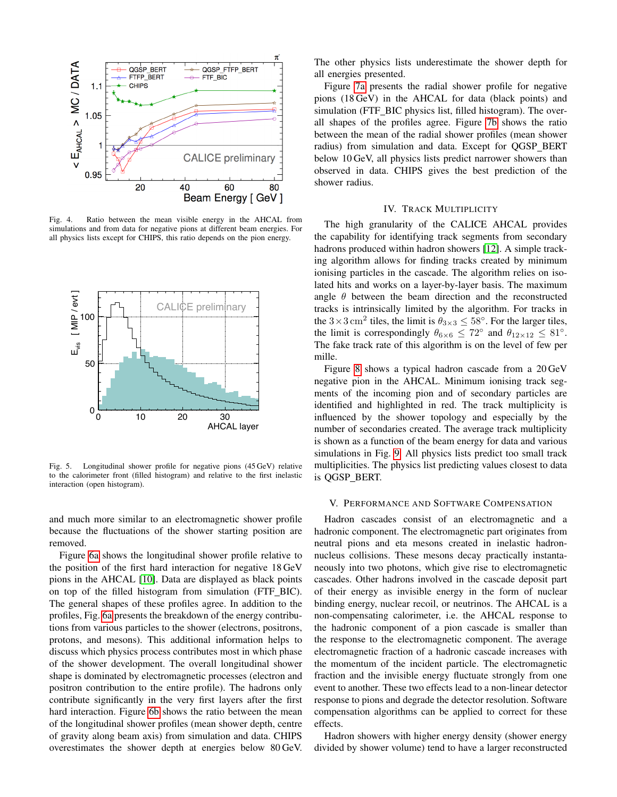

<span id="page-2-0"></span>Fig. 4. Ratio between the mean visible energy in the AHCAL from simulations and from data for negative pions at different beam energies. For all physics lists except for CHIPS, this ratio depends on the pion energy.



<span id="page-2-1"></span>Fig. 5. Longitudinal shower profile for negative pions (45 GeV) relative to the calorimeter front (filled histogram) and relative to the first inelastic interaction (open histogram).

and much more similar to an electromagnetic shower profile because the fluctuations of the shower starting position are removed.

Figure [6a](#page-3-0) shows the longitudinal shower profile relative to the position of the first hard interaction for negative 18 GeV pions in the AHCAL [\[10\]](#page-4-9). Data are displayed as black points on top of the filled histogram from simulation (FTF BIC). The general shapes of these profiles agree. In addition to the profiles, Fig. [6a](#page-3-0) presents the breakdown of the energy contributions from various particles to the shower (electrons, positrons, protons, and mesons). This additional information helps to discuss which physics process contributes most in which phase of the shower development. The overall longitudinal shower shape is dominated by electromagnetic processes (electron and positron contribution to the entire profile). The hadrons only contribute significantly in the very first layers after the first hard interaction. Figure [6b](#page-3-1) shows the ratio between the mean of the longitudinal shower profiles (mean shower depth, centre of gravity along beam axis) from simulation and data. CHIPS overestimates the shower depth at energies below 80 GeV. The other physics lists underestimate the shower depth for all energies presented.

Figure [7a](#page-3-2) presents the radial shower profile for negative pions (18 GeV) in the AHCAL for data (black points) and simulation (FTF\_BIC physics list, filled histogram). The overall shapes of the profiles agree. Figure [7b](#page-3-3) shows the ratio between the mean of the radial shower profiles (mean shower radius) from simulation and data. Except for QGSP BERT below 10 GeV, all physics lists predict narrower showers than observed in data. CHIPS gives the best prediction of the shower radius.

### IV. TRACK MULTIPLICITY

The high granularity of the CALICE AHCAL provides the capability for identifying track segments from secondary hadrons produced within hadron showers [\[12\]](#page-4-11). A simple tracking algorithm allows for finding tracks created by minimum ionising particles in the cascade. The algorithm relies on isolated hits and works on a layer-by-layer basis. The maximum angle  $\theta$  between the beam direction and the reconstructed tracks is intrinsically limited by the algorithm. For tracks in the  $3 \times 3$  cm<sup>2</sup> tiles, the limit is  $\theta_{3 \times 3} \leq 58^{\circ}$ . For the larger tiles, the limit is correspondingly  $\theta_{6\times6} \leq 72^{\circ}$  and  $\theta_{12\times12} \leq 81^{\circ}$ . The fake track rate of this algorithm is on the level of few per mille.

Figure [8](#page-4-12) shows a typical hadron cascade from a 20 GeV negative pion in the AHCAL. Minimum ionising track segments of the incoming pion and of secondary particles are identified and highlighted in red. The track multiplicity is influenced by the shower topology and especially by the number of secondaries created. The average track multiplicity is shown as a function of the beam energy for data and various simulations in Fig. [9.](#page-4-13) All physics lists predict too small track multiplicities. The physics list predicting values closest to data is QGSP BERT.

#### V. PERFORMANCE AND SOFTWARE COMPENSATION

Hadron cascades consist of an electromagnetic and a hadronic component. The electromagnetic part originates from neutral pions and eta mesons created in inelastic hadronnucleus collisions. These mesons decay practically instantaneously into two photons, which give rise to electromagnetic cascades. Other hadrons involved in the cascade deposit part of their energy as invisible energy in the form of nuclear binding energy, nuclear recoil, or neutrinos. The AHCAL is a non-compensating calorimeter, i.e. the AHCAL response to the hadronic component of a pion cascade is smaller than the response to the electromagnetic component. The average electromagnetic fraction of a hadronic cascade increases with the momentum of the incident particle. The electromagnetic fraction and the invisible energy fluctuate strongly from one event to another. These two effects lead to a non-linear detector response to pions and degrade the detector resolution. Software compensation algorithms can be applied to correct for these effects.

Hadron showers with higher energy density (shower energy divided by shower volume) tend to have a larger reconstructed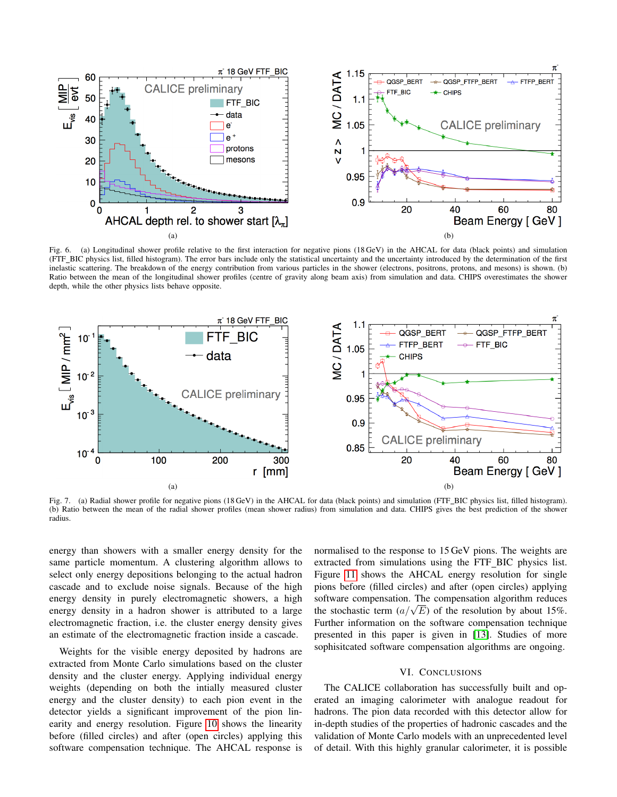

<span id="page-3-1"></span><span id="page-3-0"></span>Fig. 6. (a) Longitudinal shower profile relative to the first interaction for negative pions (18 GeV) in the AHCAL for data (black points) and simulation (FTF BIC physics list, filled histogram). The error bars include only the statistical uncertainty and the uncertainty introduced by the determination of the first inelastic scattering. The breakdown of the energy contribution from various particles in the shower (electrons, positrons, protons, and mesons) is shown. (b) Ratio between the mean of the longitudinal shower profiles (centre of gravity along beam axis) from simulation and data. CHIPS overestimates the shower depth, while the other physics lists behave opposite.



<span id="page-3-2"></span>Fig. 7. (a) Radial shower profile for negative pions (18 GeV) in the AHCAL for data (black points) and simulation (FTF BIC physics list, filled histogram). (b) Ratio between the mean of the radial shower profiles (mean shower radius) from simulation and data. CHIPS gives the best prediction of the shower radius.

energy than showers with a smaller energy density for the same particle momentum. A clustering algorithm allows to select only energy depositions belonging to the actual hadron cascade and to exclude noise signals. Because of the high energy density in purely electromagnetic showers, a high energy density in a hadron shower is attributed to a large electromagnetic fraction, i.e. the cluster energy density gives an estimate of the electromagnetic fraction inside a cascade.

Weights for the visible energy deposited by hadrons are extracted from Monte Carlo simulations based on the cluster density and the cluster energy. Applying individual energy weights (depending on both the intially measured cluster energy and the cluster density) to each pion event in the detector yields a significant improvement of the pion linearity and energy resolution. Figure [10](#page-5-0) shows the linearity before (filled circles) and after (open circles) applying this software compensation technique. The AHCAL response is <span id="page-3-3"></span>normalised to the response to 15 GeV pions. The weights are extracted from simulations using the FTF BIC physics list. Figure [11](#page-5-1) shows the AHCAL energy resolution for single pions before (filled circles) and after (open circles) applying software compensation. The compensation algorithm reduces software compensation. The compensation algorithm reduces the stochastic term  $(a/\sqrt{E})$  of the resolution by about 15%. Further information on the software compensation technique presented in this paper is given in [\[13\]](#page-4-14). Studies of more sophisitcated software compensation algorithms are ongoing.

## VI. CONCLUSIONS

The CALICE collaboration has successfully built and operated an imaging calorimeter with analogue readout for hadrons. The pion data recorded with this detector allow for in-depth studies of the properties of hadronic cascades and the validation of Monte Carlo models with an unprecedented level of detail. With this highly granular calorimeter, it is possible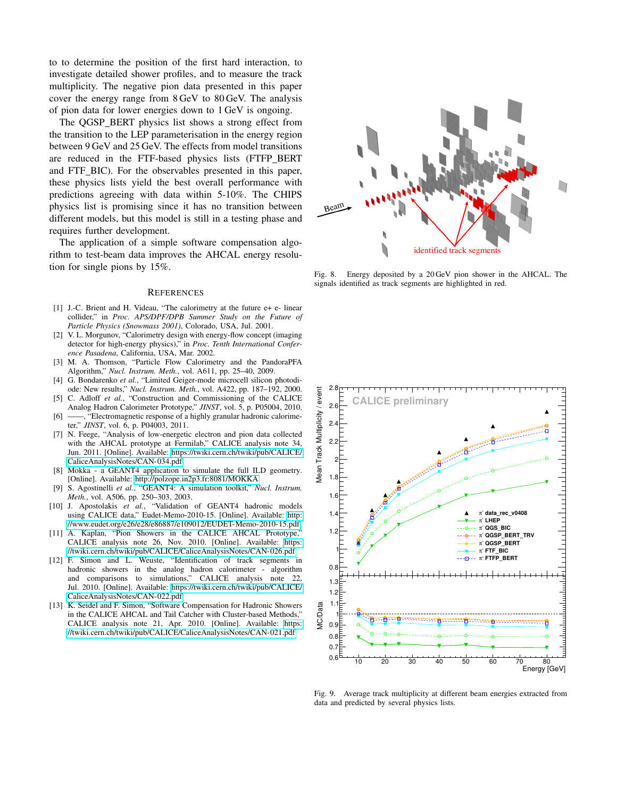to to determine the position of the first hard interaction, to investigate detailed shower profiles, and to measure the track multiplicity. The negative pion data presented in this paper cover the energy range from 8 GeV to 80 GeV. The analysis of pion data for lower energies down to 1 GeV is ongoing.

The QGSP\_BERT physics list shows a strong effect from the transition to the LEP parameterisation in the energy region between 9 GeV and 25 GeV. The effects from model transitions are reduced in the FTF-based physics lists (FTFP BERT and FTF BIC). For the observables presented in this paper, these physics lists yield the best overall performance with predictions agreeing with data within 5-10%. The CHIPS physics list is promising since it has no transition between different models, but this model is still in a testing phase and requires further development.

The application of a simple software compensation algorithm to test-beam data improves the AHCAL energy resolution for single pions by 15%.

#### **REFERENCES**

- <span id="page-4-0"></span>[1] J.-C. Brient and H. Videau, "The calorimetry at the future e+ e- linear collider," in *Proc. APS/DPF/DPB Summer Study on the Future of Particle Physics (Snowmass 2001)*, Colorado, USA, Jul. 2001.
- <span id="page-4-1"></span>[2] V. L. Morgunov, "Calorimetry design with energy-flow concept (imaging detector for high-energy physics)," in *Proc. Tenth International Conference Pasadena*, California, USA, Mar. 2002.
- <span id="page-4-2"></span>[3] M. A. Thomson, "Particle Flow Calorimetry and the PandoraPFA Algorithm," *Nucl. Instrum. Meth.*, vol. A611, pp. 25–40, 2009.
- <span id="page-4-3"></span>[4] G. Bondarenko et al., "Limited Geiger-mode microcell silicon photodiode: New results," *Nucl. Instrum. Meth.*, vol. A422, pp. 187–192, 2000.
- <span id="page-4-4"></span>[5] C. Adloff *et al.*, "Construction and Commissioning of the CALICE Analog Hadron Calorimeter Prototype," *JINST*, vol. 5, p. P05004, 2010.
- <span id="page-4-5"></span>[6] ——, "Electromagnetic response of a highly granular hadronic calorimeter," *JINST*, vol. 6, p. P04003, 2011.
- <span id="page-4-6"></span>[7] N. Feege, "Analysis of low-energetic electron and pion data collected with the AHCAL prototype at Fermilab," CALICE analysis note 34, Jun. 2011. [Online]. Available: [https://twiki.cern.ch/twiki/pub/CALICE/](https://twiki.cern.ch/twiki/pub/CALICE/CaliceAnalysisNotes/CAN-034.pdf) [CaliceAnalysisNotes/CAN-034.pdf](https://twiki.cern.ch/twiki/pub/CALICE/CaliceAnalysisNotes/CAN-034.pdf)
- <span id="page-4-7"></span>[8] Mokka - a GEANT4 application to simulate the full ILD geometry. [Online]. Available:<http://polzope.in2p3.fr:8081/MOKKA>
- <span id="page-4-8"></span>[9] S. Agostinelli *et al.*, "GEANT4: A simulation toolkit," *Nucl. Instrum. Meth.*, vol. A506, pp. 250–303, 2003.
- <span id="page-4-9"></span>[10] J. Apostolakis et al., "Validation of GEANT4 hadronic models using CALICE data," Eudet-Memo-2010-15. [Online]. Available: [http:](http://www.eudet.org/e26/e28/e86887/e109012/EUDET-Memo-2010-15.pdf) [//www.eudet.org/e26/e28/e86887/e109012/EUDET-Memo-2010-15.pdf](http://www.eudet.org/e26/e28/e86887/e109012/EUDET-Memo-2010-15.pdf)
- <span id="page-4-10"></span>[11] A. Kaplan, "Pion Showers in the CALICE AHCAL Prototype," CALICE analysis note 26, Nov. 2010. [Online]. Available: [https:](https://twiki.cern.ch/twiki/pub/CALICE/CaliceAnalysisNotes/CAN-026.pdf) [//twiki.cern.ch/twiki/pub/CALICE/CaliceAnalysisNotes/CAN-026.pdf](https://twiki.cern.ch/twiki/pub/CALICE/CaliceAnalysisNotes/CAN-026.pdf)
- <span id="page-4-11"></span>[12] F. Simon and L. Weuste, "Identification of track segments in hadronic showers in the analog hadron calorimeter - algorithm and comparisons to simulations," CALICE analysis note 22, Jul. 2010. [Online]. Available: [https://twiki.cern.ch/twiki/pub/CALICE/](https://twiki.cern.ch/twiki/pub/CALICE/CaliceAnalysisNotes/CAN-022.pdf) [CaliceAnalysisNotes/CAN-022.pdf](https://twiki.cern.ch/twiki/pub/CALICE/CaliceAnalysisNotes/CAN-022.pdf)
- <span id="page-4-14"></span>[13] K. Seidel and F. Simon, "Software Compensation for Hadronic Showers in the CALICE AHCAL and Tail Catcher with Cluster-based Methods," CALICE analysis note 21, Apr. 2010. [Online]. Available: [https:](https://twiki.cern.ch/twiki/pub/CALICE/CaliceAnalysisNotes/CAN-021.pdf) [//twiki.cern.ch/twiki/pub/CALICE/CaliceAnalysisNotes/CAN-021.pdf](https://twiki.cern.ch/twiki/pub/CALICE/CaliceAnalysisNotes/CAN-021.pdf)



<span id="page-4-12"></span>Fig. 8. Energy deposited by a 20 GeV pion shower in the AHCAL. The signals identified as track segments are highlighted in red.



<span id="page-4-13"></span>Fig. 9. Average track multiplicity at different beam energies extracted from data and predicted by several physics lists.